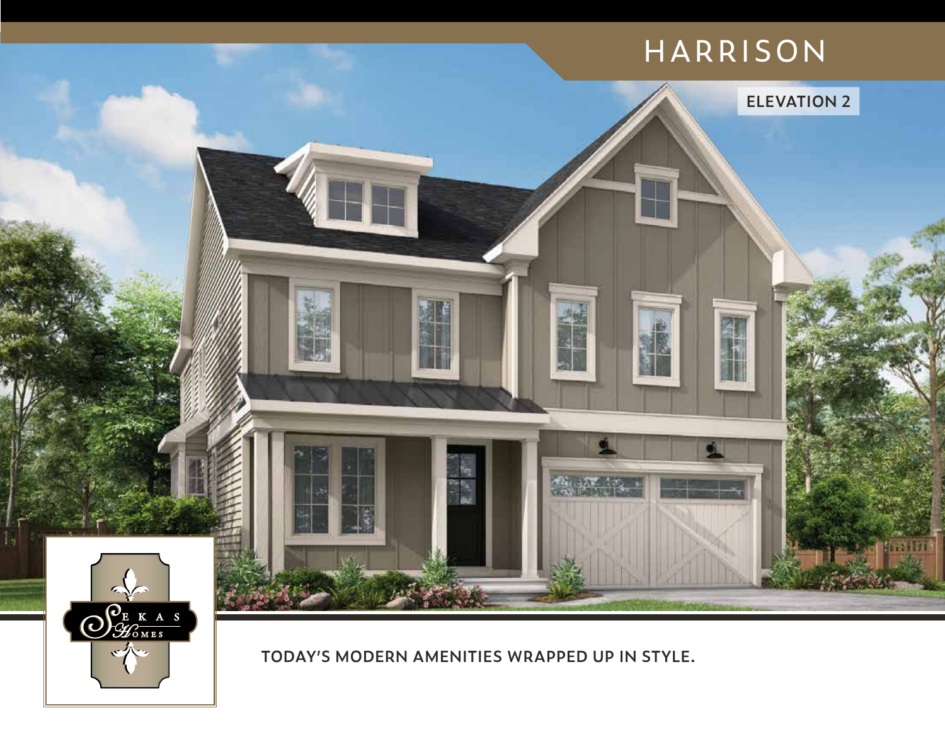

**TODAY'S MODERN AMENITIES WRAPPED UP IN STYLE.**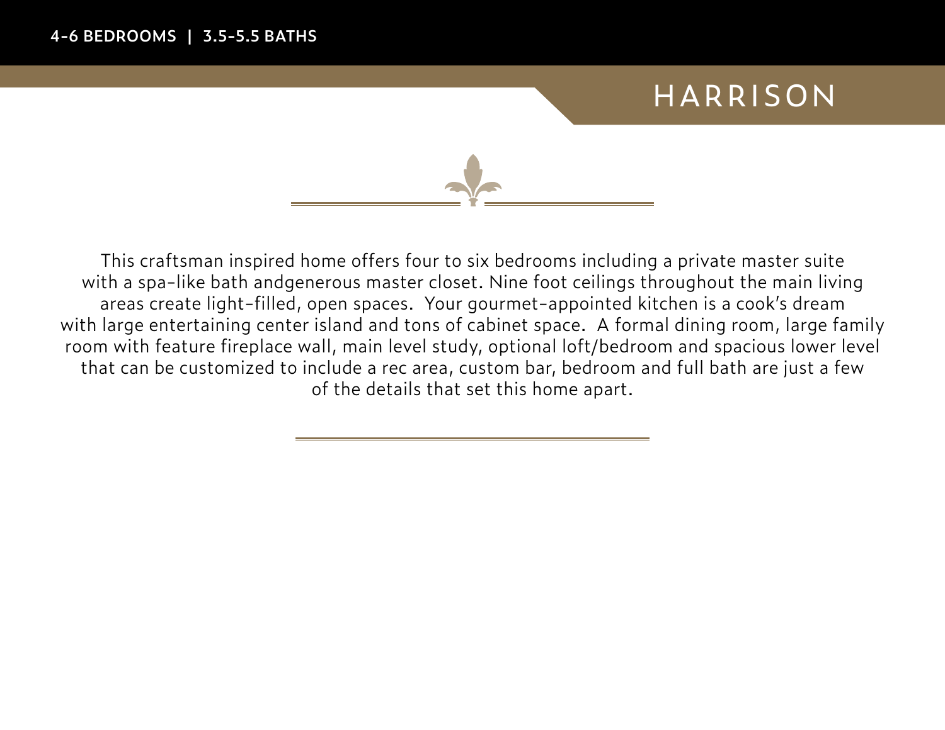

This craftsman inspired home offers four to six bedrooms including a private master suite with a spa-like bath andgenerous master closet. Nine foot ceilings throughout the main living areas create light-filled, open spaces. Your gourmet-appointed kitchen is a cook's dream with large entertaining center island and tons of cabinet space. A formal dining room, large family room with feature fireplace wall, main level study, optional loft/bedroom and spacious lower level that can be customized to include a rec area, custom bar, bedroom and full bath are just a few of the details that set this home apart.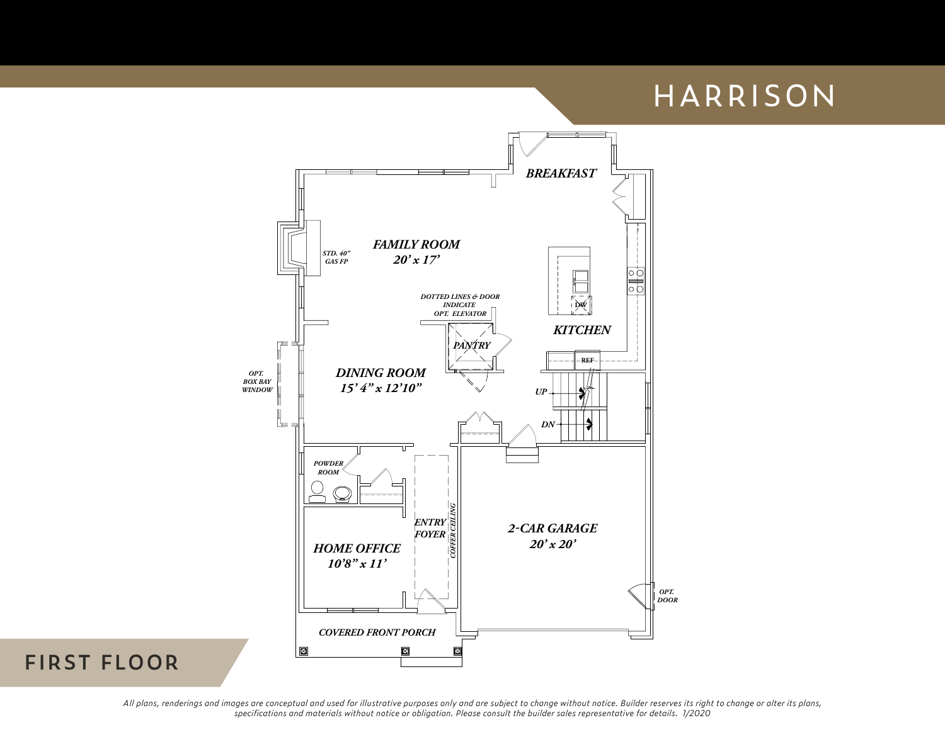

#### **FIRST FLOOR**

*All plans, renderings and images are conceptual and used for illustrative purposes only and are subject to change without notice. Builder reserves its right to change or alter its plans, specifications and materials without notice or obligation. Please consult the builder sales representative for details. 1/2020*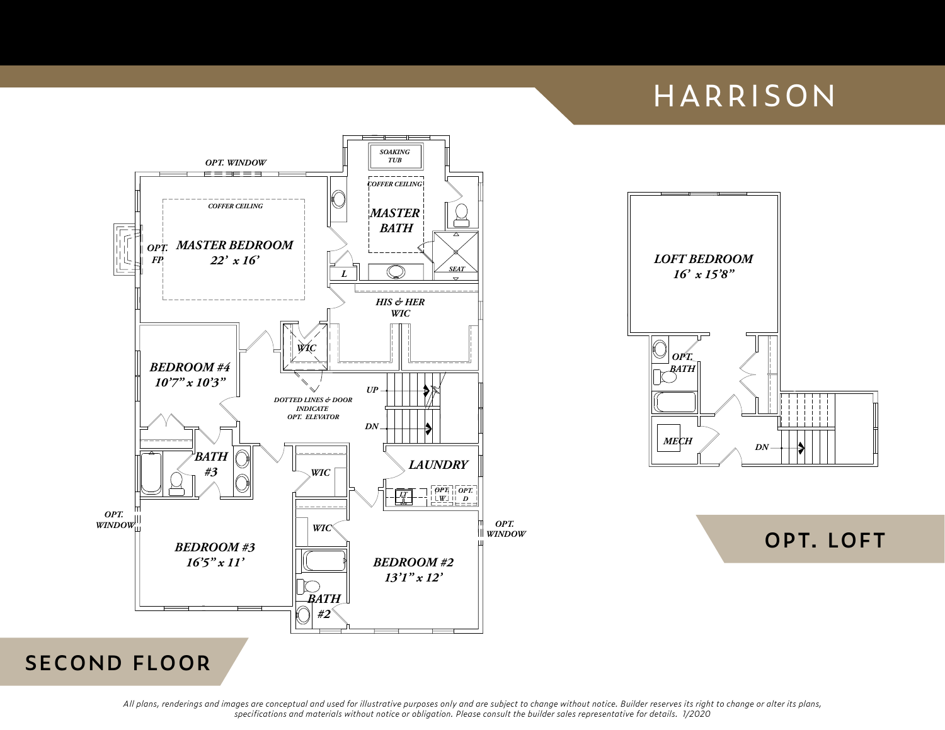



**OPT. LOFT**

### **SECOND FLOOR**

*All plans, renderings and images are conceptual and used for illustrative purposes only and are subject to change without notice. Builder reserves its right to change or alter its plans, specifications and materials without notice or obligation. Please consult the builder sales representative for details. 1/2020*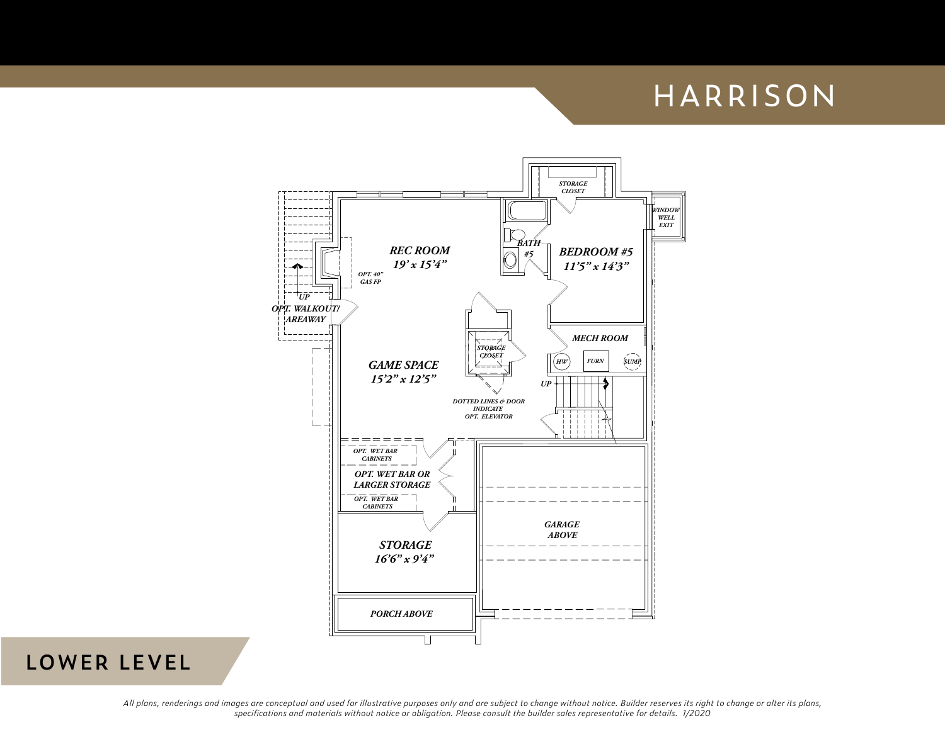

### **LOWER LEVEL**

All plans, renderings and images are conceptual and used for illustrative purposes only and are subject to change without notice. Builder reserves its right to change or alter its plans, specifications and materials without notice or obligation. Please consult the builder sales representative for details. 1/2020